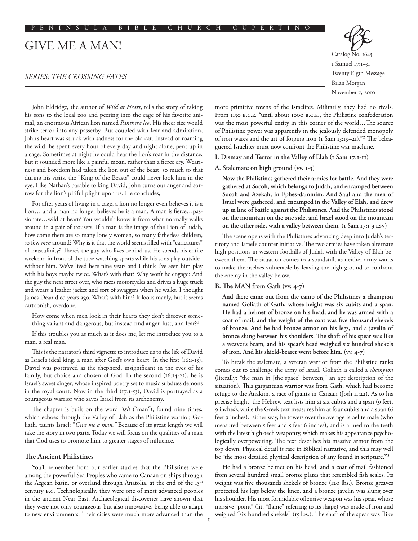# GIVE ME A MAN!

# *SERIES: THE CROSSING FATES*

Catalog No. 1645 1 Samuel 17:1–31 Twenty Eigth Message Brian Morgan November 7, 2010

John Eldridge, the author of *Wild at Heart*, tells the story of taking his sons to the local zoo and peering into the cage of his favorite animal, an enormous African lion named *Panthera leo*. His sheer size would strike terror into any passerby. But coupled with fear and admiration, John's heart was struck with sadness for the old cat. Instead of roaming the wild, he spent every hour of every day and night alone, pent up in a cage. Sometimes at night he could hear the lion's roar in the distance, but it sounded more like a painful moan, rather than a fierce cry. Weariness and boredom had taken the lion out of the beast, so much so that during his visits, the "King of the Beasts" could never look him in the eye. Like Nathan's parable to king David, John turns our anger and sorrow for the lion's pitiful plight upon us. He concludes,

For after years of living in a cage, a lion no longer even believes it is a lion… and a man no longer believes he is a man. A man is fierce…passionate…wild at heart? You wouldn't know it from what normally walks around in a pair of trousers. If a man is the image of the Lion of Judah, how come there are so many lonely women, so many fatherless children, so few *men* around? Why is it that the world seems filled with "caricatures" of masculinity? There's the guy who lives behind us. He spends his entire weekend in front of the tube watching sports while his sons play outside– without him. We've lived here nine years and I think I've seen him play with his boys maybe twice. What's with that? Why won't he engage? And the guy the next street over, who races motorcycles and drives a huge truck and wears a leather jacket and sort of swaggers when he walks. I thought James Dean died years ago. What's with him? It looks manly, but it seems cartoonish, overdone.

How come when men look in their hearts they don't discover something valiant and dangerous, but instead find anger, lust, and fear?<sup>1</sup>

If this troubles you as much as it does me, let me introduce you to a man, a real man.

This is the narrator's third vignette to introduce us to the life of David as Israel's ideal king, a man after God's own heart. In the first (16:1-13), David was portrayed as the shepherd, insignificant in the eyes of his family, but choice and chosen of God. In the second (16:14-23), he is Israel's sweet singer, whose inspired poetry set to music subdues demons in the royal court. Now in the third (17:1-53), David is portrayed as a courageous warrior who saves Israel from its archenemy.

The chapter is built on the word *'ish* ("man"), found nine times, which echoes through the Valley of Elah as the Philistine warrior, Goliath, taunts Israel: "*Give me a man."* Because of its great length we will take the story in two parts. Today we will focus on the qualities of a man that God uses to promote him to greater stages of influence.

## **The Ancient Philistines**

You'll remember from our earlier studies that the Philistines were among the powerful Sea Peoples who came to Canaan on ships through the Aegean basin, or overland through Anatolia, at the end of the 13<sup>th</sup> century b.c. Technologically, they were one of most advanced peoples in the ancient Near East. Archaeological discoveries have shown that they were not only courageous but also innovative, being able to adapt to new environments. Their cities were much more advanced than the more primitive towns of the Israelites. Militarily, they had no rivals. From 1150 b.c.e. "until about 1000 b.c.e., the Philistine confederation was the most powerful entity in this corner of the world…The source of Philistine power was apparently in the jealously defended monopoly of iron wares and the art of forging iron (1 Sam 13:19–21)."2 The beleaguered Israelites must now confront the Philistine war machine.

- **I. Dismay and Terror in the Valley of Elah (1 Sam 17:1-11)**
- **A. Stalemate on high ground (vv. 1-3)**

**Now the Philistines gathered their armies for battle. And they were gathered at Socoh, which belongs to Judah, and encamped between Socoh and Azekah, in Ephes-dammim. And Saul and the men of Israel were gathered, and encamped in the Valley of Elah, and drew up in line of battle against the Philistines. And the Philistines stood on the mountain on the one side, and Israel stood on the mountain on the other side, with a valley between them. (1 Sam 17:1-3 esv)**

The scene opens with the Philistines advancing deep into Judah's territory and Israel's counter initiative. The two armies have taken alternate high positions in western foothills of Judah with the Valley of Elah between them. The situation comes to a standstill, as neither army wants to make themselves vulnerable by leaving the high ground to confront the enemy in the valley below.

## **B. The MAN from Gath (vv. 4-7)**

**And there came out from the camp of the Philistines a champion named Goliath of Gath, whose height was six cubits and a span. He had a helmet of bronze on his head, and he was armed with a coat of mail, and the weight of the coat was five thousand shekels of bronze. And he had bronze armor on his legs, and a javelin of bronze slung between his shoulders. The shaft of his spear was like a weaver's beam, and his spear's head weighed six hundred shekels of iron. And his shield-bearer went before him. (vv. 4-7)**

To break the stalemate, a veteran warrior from the Philistine ranks comes out to challenge the army of Israel. Goliath is called a *champion* (literally: "the man in [the space] between," an apt description of the situation). This gargantuan warrior was from Gath, which had become refuge to the Anakim, a race of giants in Canaan (Josh 11:22). As to his precise height, the Hebrew text lists him at six cubits and a span (9 feet, 9 inches), while the Greek text measures him at four cubits and a span (6 feet 9 inches). Either way, he towers over the average Israelite male (who measured between 5 feet and 5 feet 6 inches), and is armed to the teeth with the latest high-tech weaponry, which makes his appearance psychologically overpowering. The text describes his massive armor from the top down. Physical detail is rare in Biblical narrative, and this may well be "the most detailed physical description of any found in scripture."3

He had a bronze helmet on his head, and a coat of mail fashioned from several hundred small bronze plates that resembled fish scales. Its weight was five thousands shekels of bronze (120 lbs.). Bronze greaves protected his legs below the knee, and a bronze javelin was slung over his shoulder. His most formidable offensive weapon was his spear, whose massive "point" (lit. "flame" referring to its shape) was made of iron and weighed "six hundred shekels" (15 lbs.). The shaft of the spear was "like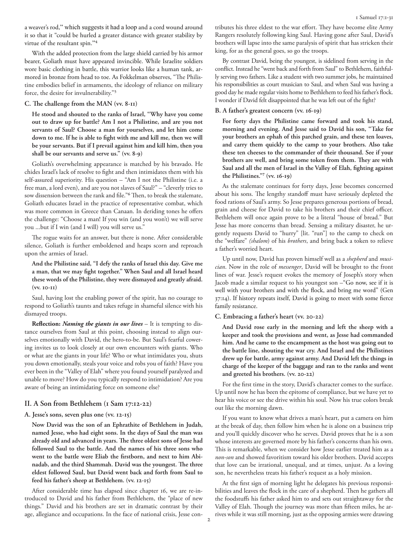a weaver's rod," which suggests it had a loop and a cord wound around it so that it "could be hurled a greater distance with greater stability by virtue of the resultant spin."4

With the added protection from the large shield carried by his armor bearer, Goliath must have appeared invincible. While Israelite soldiers wore basic clothing in battle, this warrior looks like a human tank, armored in bronze from head to toe. As Fokkelman observes, "The Philistine embodies belief in armaments, the ideology of reliance on military force, the desire for invulnerability."5

#### **C. The challenge from the MAN (vv. 8-11)**

**He stood and shouted to the ranks of Israel, "Why have you come out to draw up for battle? Am I not a Philistine, and are you not servants of Saul? Choose a man for yourselves, and let him come down to me. If he is able to fight with me and kill me, then we will be your servants. But if I prevail against him and kill him, then you shall be our servants and serve us." (vv. 8-9)**

Goliath's overwhelming appearance is matched by his bravado. He chides Israel's lack of resolve to fight and then intimidates them with his self-assured superiority. His question – "Am I not the Philistine (i.e. a free man, a lord even), and are you not slaves of Saul?" – "cleverly tries to sow dissension between the rank and file."6 Then, to break the stalemate, Goliath educates Israel in the practice of representative combat, which was more common in Greece than Canaan. In deriding tones he offers the challenge: "Choose a man! If you win (and you won't) we will serve you ...but if I win (and I will) you will serve us."

The rogue waits for an answer, but there is none. After considerable silence, Goliath is further emboldened and heaps scorn and reproach upon the armies of Israel.

**And the Philistine said, "I defy the ranks of Israel this day. Give me a man, that we may fight together." When Saul and all Israel heard these words of the Philistine, they were dismayed and greatly afraid. (vv. 10-11)**

Saul, having lost the enabling power of the spirit, has no courage to respond to Goliath's taunts and takes refuge in shameful silence with his dismayed troops.

**Reflection:** *Naming the giants in our lives* – It is tempting to distance ourselves from Saul at this point, choosing instead to align ourselves emotionally with David, the hero-to-be. But Saul's fearful cowering invites us to look closely at our own encounters with giants. Who or what are the giants in your life? Who or what intimidates you, shuts you down emotionally, steals your voice and robs you of faith? Have you ever been in the "Valley of Elah" where you found yourself paralyzed and unable to move? How do you typically respond to intimidation? Are you aware of being an intimidating force on someone else?

#### **II. A Son from Bethlehem (1 Sam 17:12-22)**

## **A. Jesse's sons, seven plus one (vv. 12-15)**

**Now David was the son of an Ephrathite of Bethlehem in Judah, named Jesse, who had eight sons. In the days of Saul the man was already old and advanced in years. The three oldest sons of Jesse had followed Saul to the battle. And the names of his three sons who went to the battle were Eliab the firstborn, and next to him Abinadab, and the third Shammah. David was the youngest. The three eldest followed Saul, but David went back and forth from Saul to feed his father's sheep at Bethlehem. (vv. 12-15)**

After considerable time has elapsed since chapter 16, we are re-introduced to David and his father from Bethlehem, the "place of new things." David and his brothers are set in dramatic contrast by their age, allegiance and occupations. In the face of national crisis, Jesse contributes his three eldest to the war effort. They have become elite Army Rangers resolutely following king Saul. Having gone after Saul, David's brothers will lapse into the same paralysis of spirit that has stricken their king, for as the general goes, so go the troops.

By contrast David, being the youngest, is sidelined from serving in the conflict. Instead he "went back and forth from Saul" to Bethlehem, faithfully serving two fathers. Like a student with two summer jobs, he maintained his responsibilities as court musician to Saul, and when Saul was having a good day he made regular visits home to Bethlehem to feed his father's flock. I wonder if David felt disappointed that he was left out of the fight?

## **B. A father's greatest concern (vv. 16-19)**

**For forty days the Philistine came forward and took his stand, morning and evening. And Jesse said to David his son, "Take for your brothers an ephah of this parched grain, and these ten loaves, and carry them quickly to the camp to your brothers. Also take these ten cheeses to the commander of their thousand. See if your brothers are well, and bring some token from them. They are with Saul and all the men of Israel in the Valley of Elah, fighting against the Philistines."<sup>7</sup> (vv. 16-19)**

As the stalemate continues for forty days, Jesse becomes concerned about his sons. The lengthy standoff must have seriously depleted the food rations of Saul's army. So Jesse prepares generous portions of bread, grain and cheese for David to take his brothers and their chief officer. Bethlehem will once again prove to be a literal "house of bread." But Jesse has more concerns than bread. Sensing a military disaster, he urgently requests David to "hurry" [lit. "run"] to the camp to check on the "welfare" *(shalom*) of his *brothers*, and bring back a token to relieve a father's worried heart.

Up until now, David has proven himself well as a *shepherd* and *musician*. Now in the role of *messenger*, David will be brought to the front lines of war. Jesse's request evokes the memory of Joseph's story when Jacob made a similar request to his youngest son –"Go now, see if it is well with your brothers and with the flock, and bring me word" (Gen 37:14). If history repeats itself, David is going to meet with some fierce family resistance.

#### **C. Embracing a father's heart (vv. 20-22)**

**And David rose early in the morning and left the sheep with a keeper and took the provisions and went, as Jesse had commanded him. And he came to the encampment as the host was going out to the battle line, shouting the war cry. And Israel and the Philistines drew up for battle, army against army. And David left the things in charge of the keeper of the baggage and ran to the ranks and went and greeted his brothers. (vv. 20-22)**

For the first time in the story, David's character comes to the surface. Up until now he has been the epitome of compliance, but we have yet to hear his voice or see the drive within his soul. Now his true colors break out like the morning dawn.

If you want to know what drives a man's heart, put a camera on him at the break of day, then follow him when he is alone on a business trip and you'll quickly discover who he serves. David proves that he is a son whose interests are governed more by his father's concerns than his own. This is remarkable, when we consider how Jesse earlier treated him as a *non-son* and showed favoritism toward his older brothers. David accepts that love can be irrational, unequal, and at times, unjust. As a loving son, he nevertheless treats his father's request as a holy mission.

At the first sign of morning light he delegates his previous responsibilities and leaves the flock in the care of a shepherd. Then he gathers all the foodstuffs his father asked him to and sets out straightaway for the Valley of Elah. Though the journey was more than fifteen miles, he arrives while it was still morning, just as the opposing armies were drawing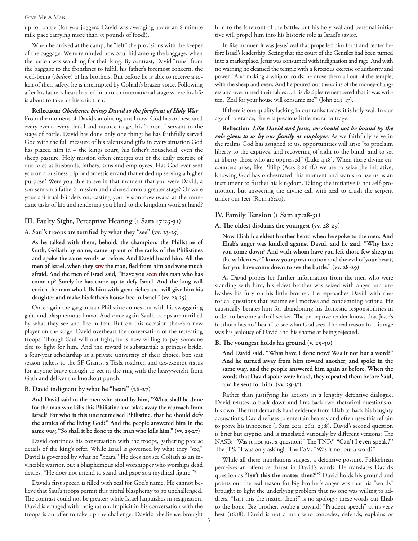#### Give Me A Man!

up for battle (for you joggers, David was averaging about an 8 minute mile pace carrying more than 35 pounds of food!).

When he arrived at the camp, he "left" the provisions with the keeper of the baggage. We're reminded how Saul hid among the baggage, when the nation was searching for their king. By contrast, David "runs" from the baggage to the frontlines to fulfill his father's foremost concern, the well-being (*shalom*) of his brothers. But before he is able to receive a token of their safety, he is interrupted by Goliath's brazen voice. Following after his father's heart has led him to an international stage where his life is about to take an historic turn.

**Reflection:** *Obedience brings David to the forefront of Holy War* – From the moment of David's anointing until now, God has orchestrated every event, every detail and nuance to get his "chosen" servant to the stage of battle. David has done only one thing: he has faithfully served God with the full measure of his talents and gifts in every situation God has placed him in – the kings court, his father's household, even the sheep pasture. Holy mission often emerges out of the daily exercise of our roles as husbands, fathers, sons and employees. Has God ever sent you on a business trip or domestic errand that ended up serving a higher purpose? Were you able to see in that moment that you were David, a son sent on a father's mission and ushered onto a greater stage? Or were your spiritual blinders on, casting your vision downward at the mundane tasks of life and rendering you blind to the kingdom work at hand?

## **III. Faulty Sight, Perceptive Hearing (1 Sam 17:23-31)**

## **A. Saul's troops are terrified by what they "see" (vv. 23-25)**

**As he talked with them, behold, the champion, the Philistine of Gath, Goliath by name, came up out of the ranks of the Philistines and spoke the same words as before. And David heard him. All the men of Israel, when they saw the man, fled from him and were much afraid. And the men of Israel said, "Have you seen this man who has come up? Surely he has come up to defy Israel. And the king will enrich the man who kills him with great riches and will give him his daughter and make his father's house free in Israel." (vv. 23-25)**

Once again the gargantuan Philistine comes out with his swaggering gait, and blasphemous bravo. And once again Saul's troops are terrified by what they see and flee in fear. But on this occasion there's a new player on the stage. David overhears the conversation of the retreating troops. Though Saul will not fight, he is now willing to pay someone else to fight for him. And the reward is substantial: a princess bride, a four-year scholarship at a private university of their choice, box seat season tickets to the SF Giants, a Tesla roadster, and tax-exempt status for anyone brave enough to get in the ring with the heavyweight from Gath and deliver the knockout punch.

#### **B. David indignant by what he "hears" (26-27)**

**And David said to the men who stood by him, "What shall be done for the man who kills this Philistine and takes away the reproach from Israel? For who is this uncircumcised Philistine, that he should defy the armies of the living God?" And the people answered him in the same way, "So shall it be done to the man who kills him." (vv. 23-27)**

David continues his conversation with the troops, gathering precise details of the king's offer. While Israel is governed by what they "see," David is governed by what he "hears." He does not see Goliath as an invincible warrior, but a blasphemous idol worshipper who worships dead deities. "He does not intend to stand and gape at a mythical figure."8

David's first speech is filled with zeal for God's name. He cannot believe that Saul's troops permit this pitiful blasphemy to go unchallenged. The contrast could not be greater; while Israel languishes in resignation, David is enraged with indignation. Implicit in his conversation with the troops is an offer to take up the challenge. David's obedience brought him to the forefront of the battle, but his holy zeal and personal initiative will propel him into his historic role as Israel's savior.

In like manner, it was Jesus' zeal that propelled him front and center before Israel's leadership. Seeing that the court of the Gentiles had been turned into a marketplace, Jesus was consumed with indignation and rage. And with no warning he cleansed the temple with a ferocious exercise of authority and power. "And making a whip of cords, he drove them all out of the temple, with the sheep and oxen. And he poured out the coins of the money-changers and overturned their tables… His disciples remembered that it was written, 'Zeal for your house will consume me'" (John 2:15, 17).

If there is one quality lacking in our ranks today, it is holy zeal. In our age of tolerance, there is precious little moral outrage.

**Reflection**: *Like David and Jesus, we should not be bound by the role given to us by our family or employer*. As we faithfully serve in the realms God has assigned to us, opportunities will arise "to proclaim liberty to the captives, and recovering of sight to the blind, and to set at liberty those who are oppressed" (Luke 4:18). When these divine encounters arise, like Philip (Acts 8:26 ff.) we are to seize the initiative, knowing God has orchestrated this moment and wants to use us as an instrument to further his kingdom. Taking the initiative is not self-promotion, but answering the divine call with zeal to crush the serpent under our feet (Rom 16:20).

## **IV. Family Tension (1 Sam 17:28-31)**

## **A. The oldest disdains the youngest (vv. 28-29)**

**Now Eliab his eldest brother heard when he spoke to the men. And Eliab's anger was kindled against David, and he said, "Why have you come down? And with whom have you left those few sheep in the wilderness? I know your presumption and the evil of your heart, for you have come down to see the battle." (vv. 28-29)**

As David probes for further information from the men who were standing with him, his eldest brother was seized with anger and unleashes his fury on his little brother. He reproaches David with rhetorical questions that assume evil motives and condemning actions. He caustically berates him for abandoning his domestic responsibilities in order to become a thrill seeker. The perceptive reader knows that Jesse's firstborn has no "heart" to see what God sees. The real reason for his rage was his jealousy of David and his shame at being rejected.

## **B. The youngest holds his ground (v. 29-30)**

**And David said, "What have I done now? Was it not but a word?" And he turned away from him toward another, and spoke in the same way, and the people answered him again as before. When the words that David spoke were heard, they repeated them before Saul, and he sent for him. (vv. 29-31)**

Rather than justifying his actions in a lengthy defensive dialogue, David refuses to back down and fires back two rhetorical questions of his own. The first demands hard evidence from Eliab to back his haughty accusations. David refuses to entertain hearsay and often uses this refrain to prove his innocence (1 Sam 20:1; 26:1; 29:8). David's second question is brief but cryptic, and is translated variously by different versions: The NASB: "Was it not just a question?" The TNIV: "Can't I even speak?" The JPS: "I was only asking!" The ESV: "Was it not but a word?"

While all these translations suggest a defensive posture, Fokkelman perceives an offensive thrust in David's words. He translates David's question as **"Isn't this the matter then?"9** David holds his ground and points out the real reason for big brother's anger was that his "words" brought to light the underlying problem that no one was willing to address. "Isn't this the matter then?" is no apology; these words cut Eliab to the bone. Big brother, you're a coward! "Prudent speech" at its very best (16:18). David is not a man who concedes, defends, explains or